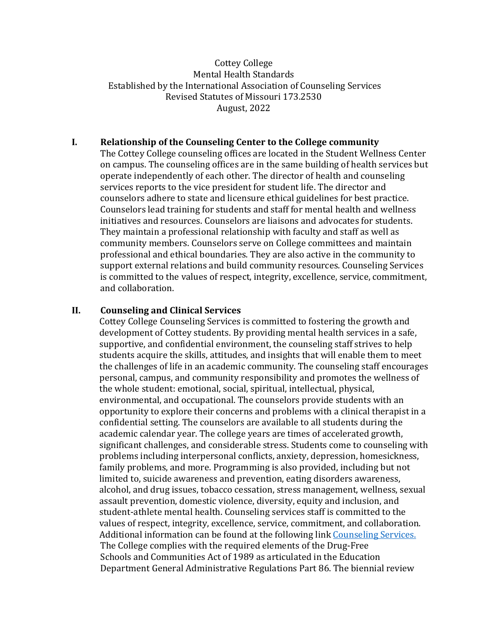## Cottey College Mental Health Standards Established by the International Association of Counseling Services Revised Statutes of Missouri 173.2530 August, 2022

### **I. Relationship of the Counseling Center to the College community**

The Cottey College counseling offices are located in the Student Wellness Center on campus. The counseling offices are in the same building of health services but operate independently of each other. The director of health and counseling services reports to the vice president for student life. The director and counselors adhere to state and licensure ethical guidelines for best practice. Counselors lead training for students and staff for mental health and wellness initiatives and resources. Counselors are liaisons and advocates for students. They maintain a professional relationship with faculty and staff as well as community members. Counselors serve on College committees and maintain professional and ethical boundaries. They are also active in the community to support external relations and build community resources. Counseling Services is committed to the values of respect, integrity, excellence, service, commitment, and collaboration.

#### **II. Counseling and Clinical Services**

Cottey College Counseling Services is committed to fostering the growth and development of Cottey students. By providing mental health services in a safe, supportive, and confidential environment, the counseling staff strives to help students acquire the skills, attitudes, and insights that will enable them to meet the challenges of life in an academic community. The counseling staff encourages personal, campus, and community responsibility and promotes the wellness of the whole student: emotional, social, spiritual, intellectual, physical, environmental, and occupational. The counselors provide students with an opportunity to explore their concerns and problems with a clinical therapist in a confidential setting. The counselors are available to all students during the academic calendar year. The college years are times of accelerated growth, significant challenges, and considerable stress. Students come to counseling with problems including interpersonal conflicts, anxiety, depression, homesickness, family problems, and more. Programming is also provided, including but not limited to, suicide awareness and prevention, eating disorders awareness, alcohol, and drug issues, tobacco cessation, stress management, wellness, sexual assault prevention, domestic violence, diversity, equity and inclusion, and student-athlete mental health. Counseling services staff is committed to the values of respect, integrity, excellence, service, commitment, and collaboration. Additional information can be found at the following link [Counseling Services.](https://cottey.edu/campus-community/student-life-center/counseling-services/) The College complies with the required elements of the Drug-Free Schools and Communities Act of 1989 as articulated in the Education Department General Administrative Regulations Part 86. The biennial review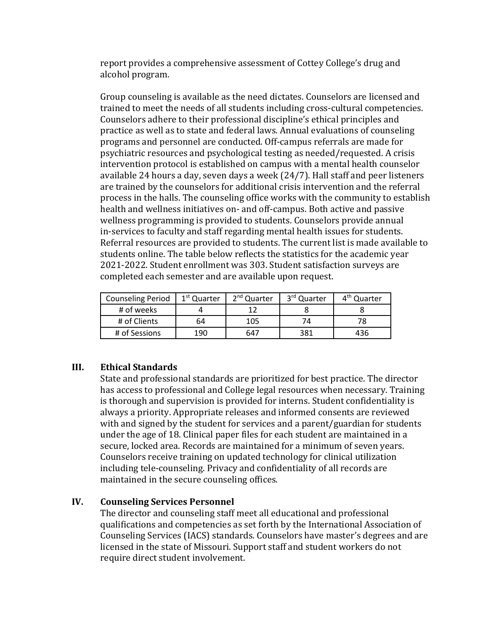report provides a comprehensive assessment of Cottey College's drug and alcohol program.

Group counseling is available as the need dictates. Counselors are licensed and trained to meet the needs of all students including cross-cultural competencies. Counselors adhere to their professional discipline's ethical principles and practice as well as to state and federal laws. Annual evaluations of counseling programs and personnel are conducted. Off-campus referrals are made for psychiatric resources and psychological testing as needed/requested. A crisis intervention protocol is established on campus with a mental health counselor available 24 hours a day, seven days a week (24/7). Hall staff and peer listeners are trained by the counselors for additional crisis intervention and the referral process in the halls. The counseling office works with the community to establish health and wellness initiatives on- and off-campus. Both active and passive wellness programming is provided to students. Counselors provide annual in-services to faculty and staff regarding mental health issues for students. Referral resources are provided to students. The current list is made available to students online. The table below reflects the statistics for the academic year 2021-2022. Student enrollment was 303. Student satisfaction surveys are completed each semester and are available upon request.

| <b>Counseling Period</b> | 1 <sup>st</sup> Quarter | 2 <sup>nd</sup> Quarter | 3 <sup>rd</sup> Quarter | 4 <sup>th</sup> Quarter |
|--------------------------|-------------------------|-------------------------|-------------------------|-------------------------|
| # of weeks               |                         |                         |                         |                         |
| # of Clients             | 64                      | 105                     | 74                      |                         |
| # of Sessions            | 190                     | 647                     | 381                     | 436                     |

# **III. Ethical Standards**

State and professional standards are prioritized for best practice. The director has access to professional and College legal resources when necessary. Training is thorough and supervision is provided for interns. Student confidentiality is always a priority. Appropriate releases and informed consents are reviewed with and signed by the student for services and a parent/guardian for students under the age of 18. Clinical paper files for each student are maintained in a secure, locked area. Records are maintained for a minimum of seven years. Counselors receive training on updated technology for clinical utilization including tele-counseling. Privacy and confidentiality of all records are maintained in the secure counseling offices.

## **IV. Counseling Services Personnel**

The director and counseling staff meet all educational and professional qualifications and competencies as set forth by the International Association of Counseling Services (IACS) standards. Counselors have master's degrees and are licensed in the state of Missouri. Support staff and student workers do not require direct student involvement.